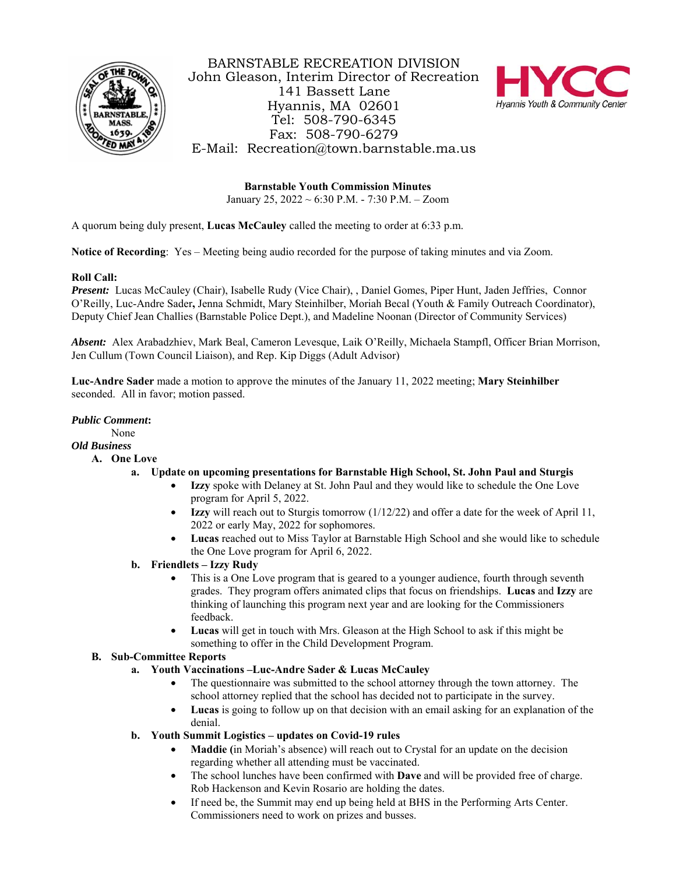

BARNSTABLE RECREATION DIVISION John Gleason, Interim Director of Recreation 141 Bassett Lane Hyannis, MA 02601 Tel: 508-790-6345 Fax: 508-790-6279 E-Mail: Recreation@town.barnstable.ma.us



**Barnstable Youth Commission Minutes** January 25, 2022 ~ 6:30 P.M. - 7:30 P.M. – Zoom

A quorum being duly present, **Lucas McCauley** called the meeting to order at 6:33 p.m.

**Notice of Recording**: Yes – Meeting being audio recorded for the purpose of taking minutes and via Zoom.

## **Roll Call:**

*Present:* Lucas McCauley (Chair), Isabelle Rudy (Vice Chair), , Daniel Gomes, Piper Hunt, Jaden Jeffries, Connor O'Reilly, Luc-Andre Sader**,** Jenna Schmidt, Mary Steinhilber, Moriah Becal (Youth & Family Outreach Coordinator), Deputy Chief Jean Challies (Barnstable Police Dept.), and Madeline Noonan (Director of Community Services)

*Absent:* Alex Arabadzhiev, Mark Beal, Cameron Levesque, Laik O'Reilly, Michaela Stampfl, Officer Brian Morrison, Jen Cullum (Town Council Liaison), and Rep. Kip Diggs (Adult Advisor)

**Luc-Andre Sader** made a motion to approve the minutes of the January 11, 2022 meeting; **Mary Steinhilber** seconded. All in favor; motion passed.

### *Public Comment***:**

None

### *Old Business*

- **A. One Love** 
	- **a. Update on upcoming presentations for Barnstable High School, St. John Paul and Sturgis** 
		- **Izzy** spoke with Delaney at St. John Paul and they would like to schedule the One Love program for April 5, 2022.
		- **Izzy** will reach out to Sturgis tomorrow (1/12/22) and offer a date for the week of April 11, 2022 or early May, 2022 for sophomores.
		- **Lucas** reached out to Miss Taylor at Barnstable High School and she would like to schedule the One Love program for April 6, 2022.
	- **b. Friendlets Izzy Rudy**
		- This is a One Love program that is geared to a younger audience, fourth through seventh grades. They program offers animated clips that focus on friendships. **Lucas** and **Izzy** are thinking of launching this program next year and are looking for the Commissioners feedback.
		- **Lucas** will get in touch with Mrs. Gleason at the High School to ask if this might be something to offer in the Child Development Program.

### **B. Sub-Committee Reports**

- **a. Youth Vaccinations –Luc-Andre Sader & Lucas McCauley**
	- The questionnaire was submitted to the school attorney through the town attorney. The school attorney replied that the school has decided not to participate in the survey.
	- **Lucas** is going to follow up on that decision with an email asking for an explanation of the denial.
	- **b. Youth Summit Logistics updates on Covid-19 rules** 
		- **Maddie (**in Moriah's absence) will reach out to Crystal for an update on the decision regarding whether all attending must be vaccinated.
		- The school lunches have been confirmed with **Dave** and will be provided free of charge. Rob Hackenson and Kevin Rosario are holding the dates.
		- If need be, the Summit may end up being held at BHS in the Performing Arts Center. Commissioners need to work on prizes and busses.